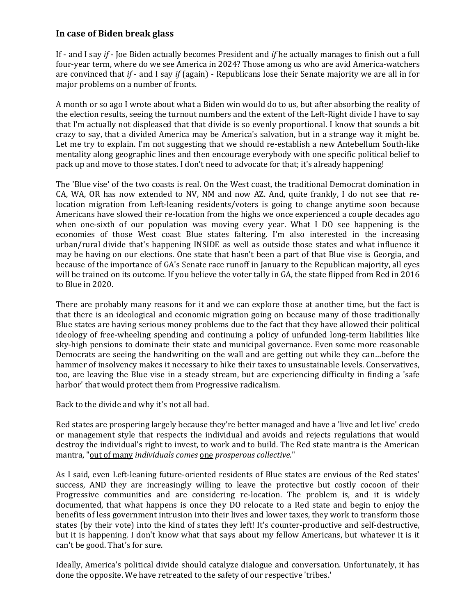## **In case of Biden break glass**

If - and I say *if* - Joe Biden actually becomes President and *if* he actually manages to finish out a full four-year term, where do we see America in 2024? Those among us who are avid America-watchers are convinced that *if* - and I say *if* (again) - Republicans lose their Senate majority we are all in for major problems on a number of fronts.

A month or so ago I wrote about what a Biden win would do to us, but after absorbing the reality of the election results, seeing the turnout numbers and the extent of the Left-Right divide I have to say that I'm actually not displeased that that divide is so evenly proportional. I know that sounds a bit crazy to say, that a divided America may be America's salvation, but in a strange way it might be. Let me try to explain. I'm not suggesting that we should re-establish a new Antebellum South-like mentality along geographic lines and then encourage everybody with one specific political belief to pack up and move to those states. I don't need to advocate for that; it's already happening!

The 'Blue vise' of the two coasts is real. On the West coast, the traditional Democrat domination in CA, WA, OR has now extended to NV, NM and now AZ. And, quite frankly, I do not see that relocation migration from Left-leaning residents/voters is going to change anytime soon because Americans have slowed their re-location from the highs we once experienced a couple decades ago when one-sixth of our population was moving every year. What I DO see happening is the economies of those West coast Blue states faltering. I'm also interested in the increasing urban/rural divide that's happening INSIDE as well as outside those states and what influence it may be having on our elections. One state that hasn't been a part of that Blue vise is Georgia, and because of the importance of GA's Senate race runoff in January to the Republican majority, all eyes will be trained on its outcome. If you believe the voter tally in GA, the state flipped from Red in 2016 to Blue in 2020.

There are probably many reasons for it and we can explore those at another time, but the fact is that there is an ideological and economic migration going on because many of those traditionally Blue states are having serious money problems due to the fact that they have allowed their political ideology of free-wheeling spending and continuing a policy of unfunded long-term liabilities like sky-high pensions to dominate their state and municipal governance. Even some more reasonable Democrats are seeing the handwriting on the wall and are getting out while they can…before the hammer of insolvency makes it necessary to hike their taxes to unsustainable levels. Conservatives, too, are leaving the Blue vise in a steady stream, but are experiencing difficulty in finding a 'safe harbor' that would protect them from Progressive radicalism.

Back to the divide and why it's not all bad.

Red states are prospering largely because they're better managed and have a 'live and let live' credo or management style that respects the individual and avoids and rejects regulations that would destroy the individual's right to invest, to work and to build. The Red state mantra is the American mantra, "out of many *individuals* comes one *prosperous collective*."

As I said, even Left-leaning future-oriented residents of Blue states are envious of the Red states' success, AND they are increasingly willing to leave the protective but costly cocoon of their Progressive communities and are considering re-location. The problem is, and it is widely documented, that what happens is once they DO relocate to a Red state and begin to enjoy the benefits of less government intrusion into their lives and lower taxes, they work to transform those states (by their vote) into the kind of states they left! It's counter-productive and self-destructive, but it is happening. I don't know what that says about my fellow Americans, but whatever it is it can't be good. That's for sure.

Ideally, America's political divide should catalyze dialogue and conversation. Unfortunately, it has done the opposite. We have retreated to the safety of our respective 'tribes.'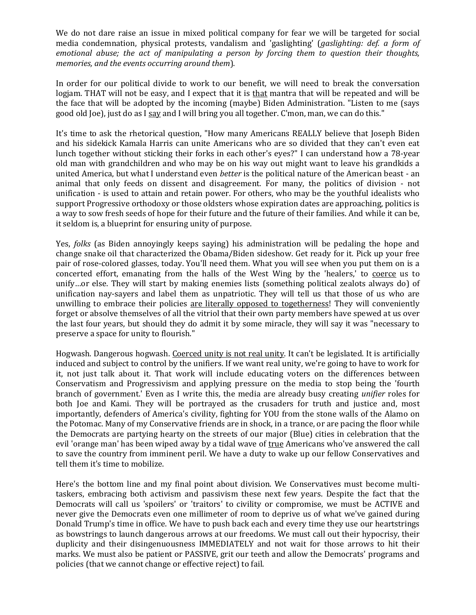We do not dare raise an issue in mixed political company for fear we will be targeted for social media condemnation, physical protests, vandalism and 'gaslighting' (*gaslighting: def. a form of emotional abuse; the act of manipulating a person by forcing them to question their thoughts, memories, and the events occurring around them*).

In order for our political divide to work to our benefit, we will need to break the conversation logjam. THAT will not be easy, and I expect that it is that mantra that will be repeated and will be the face that will be adopted by the incoming (maybe) Biden Administration. "Listen to me (says good old Joe), just do as I say and I will bring you all together. C'mon, man, we can do this."

It's time to ask the rhetorical question, "How many Americans REALLY believe that Joseph Biden and his sidekick Kamala Harris can unite Americans who are so divided that they can't even eat lunch together without sticking their forks in each other's eyes?" I can understand how a 78-year old man with grandchildren and who may be on his way out might want to leave his grandkids a united America, but what I understand even *better* is the political nature of the American beast - an animal that only feeds on dissent and disagreement. For many, the politics of division - not unification - is used to attain and retain power. For others, who may be the youthful idealists who support Progressive orthodoxy or those oldsters whose expiration dates are approaching, politics is a way to sow fresh seeds of hope for their future and the future of their families. And while it can be, it seldom is, a blueprint for ensuring unity of purpose.

Yes, *folks* (as Biden annoyingly keeps saying) his administration will be pedaling the hope and change snake oil that characterized the Obama/Biden sideshow. Get ready for it. Pick up your free pair of rose-colored glasses, today. You'll need them. What you will see when you put them on is a concerted effort, emanating from the halls of the West Wing by the 'healers,' to coerce us to unify…or else. They will start by making enemies lists (something political zealots always do) of unification nay-sayers and label them as unpatriotic. They will tell us that those of us who are unwilling to embrace their policies are literally opposed to togetherness! They will conveniently forget or absolve themselves of all the vitriol that their own party members have spewed at us over the last four years, but should they do admit it by some miracle, they will say it was "necessary to preserve a space for unity to flourish."

Hogwash. Dangerous hogwash. Coerced unity is not real unity. It can't be legislated. It is artificially induced and subject to control by the unifiers. If we want real unity, we're going to have to work for it, not just talk about it. That work will include educating voters on the differences between Conservatism and Progressivism and applying pressure on the media to stop being the 'fourth branch of government.' Even as I write this, the media are already busy creating *unifier* roles for both Joe and Kami. They will be portrayed as the crusaders for truth and justice and, most importantly, defenders of America's civility, fighting for YOU from the stone walls of the Alamo on the Potomac. Many of my Conservative friends are in shock, in a trance, or are pacing the floor while the Democrats are partying hearty on the streets of our major (Blue) cities in celebration that the evil 'orange man' has been wiped away by a tidal wave of true Americans who've answered the call to save the country from imminent peril. We have a duty to wake up our fellow Conservatives and tell them it's time to mobilize.

Here's the bottom line and my final point about division. We Conservatives must become multitaskers, embracing both activism and passivism these next few years. Despite the fact that the Democrats will call us 'spoilers' or 'traitors' to civility or compromise, we must be ACTIVE and never give the Democrats even one millimeter of room to deprive us of what we've gained during Donald Trump's time in office. We have to push back each and every time they use our heartstrings as bowstrings to launch dangerous arrows at our freedoms. We must call out their hypocrisy, their duplicity and their disingenuousness IMMEDIATELY and not wait for those arrows to hit their marks. We must also be patient or PASSIVE, grit our teeth and allow the Democrats' programs and policies (that we cannot change or effective reject) to fail.